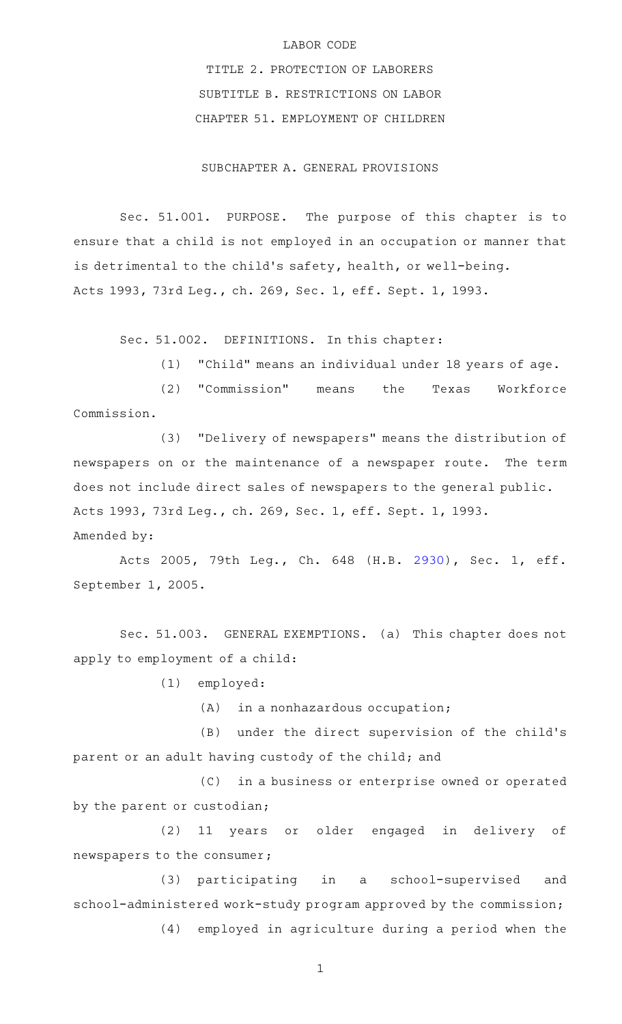# LABOR CODE

TITLE 2. PROTECTION OF LABORERS SUBTITLE B. RESTRICTIONS ON LABOR CHAPTER 51. EMPLOYMENT OF CHILDREN

SUBCHAPTER A. GENERAL PROVISIONS

Sec. 51.001. PURPOSE. The purpose of this chapter is to ensure that a child is not employed in an occupation or manner that is detrimental to the child's safety, health, or well-being. Acts 1993, 73rd Leg., ch. 269, Sec. 1, eff. Sept. 1, 1993.

Sec. 51.002. DEFINITIONS. In this chapter:

(1) "Child" means an individual under 18 years of age.

(2) "Commission" means the Texas Workforce Commission.

(3) "Delivery of newspapers" means the distribution of newspapers on or the maintenance of a newspaper route. The term does not include direct sales of newspapers to the general public. Acts 1993, 73rd Leg., ch. 269, Sec. 1, eff. Sept. 1, 1993.

Amended by:

Acts 2005, 79th Leg., Ch. 648 (H.B. [2930](http://www.legis.state.tx.us/tlodocs/79R/billtext/html/HB02930F.HTM)), Sec. 1, eff. September 1, 2005.

Sec. 51.003. GENERAL EXEMPTIONS. (a) This chapter does not apply to employment of a child:

(1) employed:

 $(A)$  in a nonhazardous occupation;

(B) under the direct supervision of the child's parent or an adult having custody of the child; and

(C) in a business or enterprise owned or operated by the parent or custodian;

(2) 11 years or older engaged in delivery of newspapers to the consumer;

(3) participating in a school-supervised and school-administered work-study program approved by the commission; (4) employed in agriculture during a period when the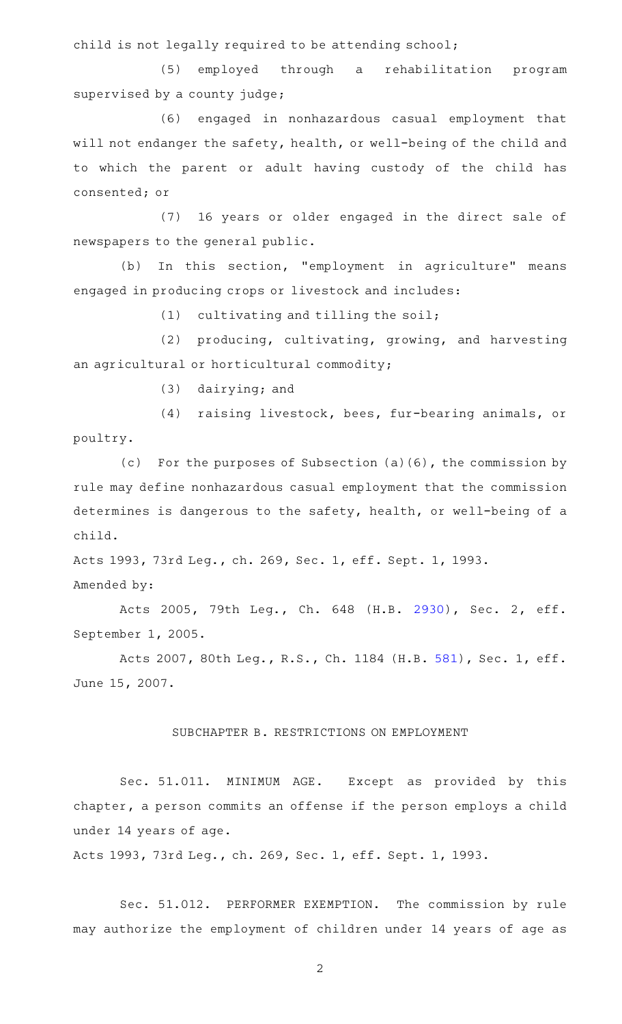child is not legally required to be attending school;

(5) employed through a rehabilitation program supervised by a county judge;

(6) engaged in nonhazardous casual employment that will not endanger the safety, health, or well-being of the child and to which the parent or adult having custody of the child has consented; or

(7) 16 years or older engaged in the direct sale of newspapers to the general public.

(b) In this section, "employment in agriculture" means engaged in producing crops or livestock and includes:

 $(1)$  cultivating and tilling the soil;

(2) producing, cultivating, growing, and harvesting an agricultural or horticultural commodity;

 $(3)$  dairying; and

(4) raising livestock, bees, fur-bearing animals, or poultry.

(c) For the purposes of Subsection (a)(6), the commission by rule may define nonhazardous casual employment that the commission determines is dangerous to the safety, health, or well-being of a child.

Acts 1993, 73rd Leg., ch. 269, Sec. 1, eff. Sept. 1, 1993.

Amended by:

Acts 2005, 79th Leg., Ch. 648 (H.B. [2930](http://www.legis.state.tx.us/tlodocs/79R/billtext/html/HB02930F.HTM)), Sec. 2, eff. September 1, 2005.

Acts 2007, 80th Leg., R.S., Ch. 1184 (H.B. [581](http://www.legis.state.tx.us/tlodocs/80R/billtext/html/HB00581F.HTM)), Sec. 1, eff. June 15, 2007.

## SUBCHAPTER B. RESTRICTIONS ON EMPLOYMENT

Sec. 51.011. MINIMUM AGE. Except as provided by this chapter, a person commits an offense if the person employs a child under 14 years of age.

Acts 1993, 73rd Leg., ch. 269, Sec. 1, eff. Sept. 1, 1993.

Sec. 51.012. PERFORMER EXEMPTION. The commission by rule may authorize the employment of children under 14 years of age as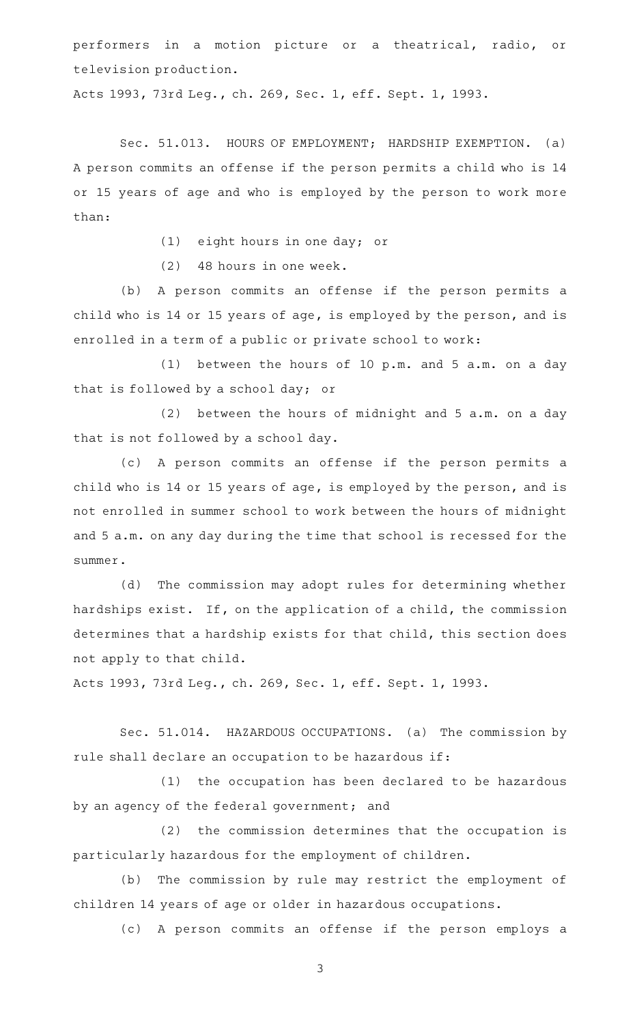performers in a motion picture or a theatrical, radio, or television production.

Acts 1993, 73rd Leg., ch. 269, Sec. 1, eff. Sept. 1, 1993.

Sec. 51.013. HOURS OF EMPLOYMENT; HARDSHIP EXEMPTION. (a) A person commits an offense if the person permits a child who is 14 or 15 years of age and who is employed by the person to work more than:

(1) eight hours in one day; or

(2) 48 hours in one week.

(b) A person commits an offense if the person permits a child who is 14 or 15 years of age, is employed by the person, and is enrolled in a term of a public or private school to work:

(1) between the hours of 10 p.m. and 5 a.m. on a day that is followed by a school day; or

(2) between the hours of midnight and 5  $a.m.$  on a day that is not followed by a school day.

(c) A person commits an offense if the person permits a child who is 14 or 15 years of age, is employed by the person, and is not enrolled in summer school to work between the hours of midnight and 5 a.m. on any day during the time that school is recessed for the summer.

(d) The commission may adopt rules for determining whether hardships exist. If, on the application of a child, the commission determines that a hardship exists for that child, this section does not apply to that child.

Acts 1993, 73rd Leg., ch. 269, Sec. 1, eff. Sept. 1, 1993.

Sec. 51.014. HAZARDOUS OCCUPATIONS. (a) The commission by rule shall declare an occupation to be hazardous if:

(1) the occupation has been declared to be hazardous by an agency of the federal government; and

(2) the commission determines that the occupation is particularly hazardous for the employment of children.

(b) The commission by rule may restrict the employment of children 14 years of age or older in hazardous occupations.

(c)AAA person commits an offense if the person employs a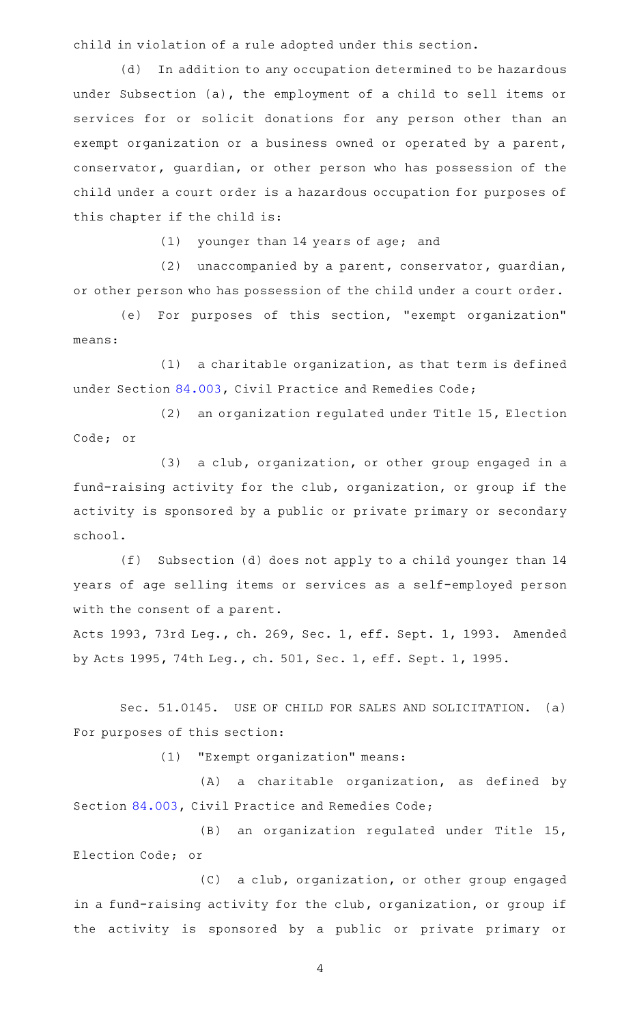child in violation of a rule adopted under this section.

(d) In addition to any occupation determined to be hazardous under Subsection (a), the employment of a child to sell items or services for or solicit donations for any person other than an exempt organization or a business owned or operated by a parent, conservator, guardian, or other person who has possession of the child under a court order is a hazardous occupation for purposes of this chapter if the child is:

(1) younger than 14 years of age; and

(2) unaccompanied by a parent, conservator, guardian, or other person who has possession of the child under a court order.

(e) For purposes of this section, "exempt organization" means:

 $(1)$  a charitable organization, as that term is defined under Section [84.003,](http://www.statutes.legis.state.tx.us/GetStatute.aspx?Code=CP&Value=84.003) Civil Practice and Remedies Code;

 $(2)$  an organization regulated under Title 15, Election Code; or

 $(3)$  a club, organization, or other group engaged in a fund-raising activity for the club, organization, or group if the activity is sponsored by a public or private primary or secondary school.

(f) Subsection (d) does not apply to a child younger than 14 years of age selling items or services as a self-employed person with the consent of a parent.

Acts 1993, 73rd Leg., ch. 269, Sec. 1, eff. Sept. 1, 1993. Amended by Acts 1995, 74th Leg., ch. 501, Sec. 1, eff. Sept. 1, 1995.

Sec. 51.0145. USE OF CHILD FOR SALES AND SOLICITATION. (a) For purposes of this section:

(1) "Exempt organization" means:

(A) a charitable organization, as defined by Section [84.003](http://www.statutes.legis.state.tx.us/GetStatute.aspx?Code=CP&Value=84.003), Civil Practice and Remedies Code;

(B) an organization regulated under Title 15, Election Code; or

(C) a club, organization, or other group engaged in a fund-raising activity for the club, organization, or group if the activity is sponsored by a public or private primary or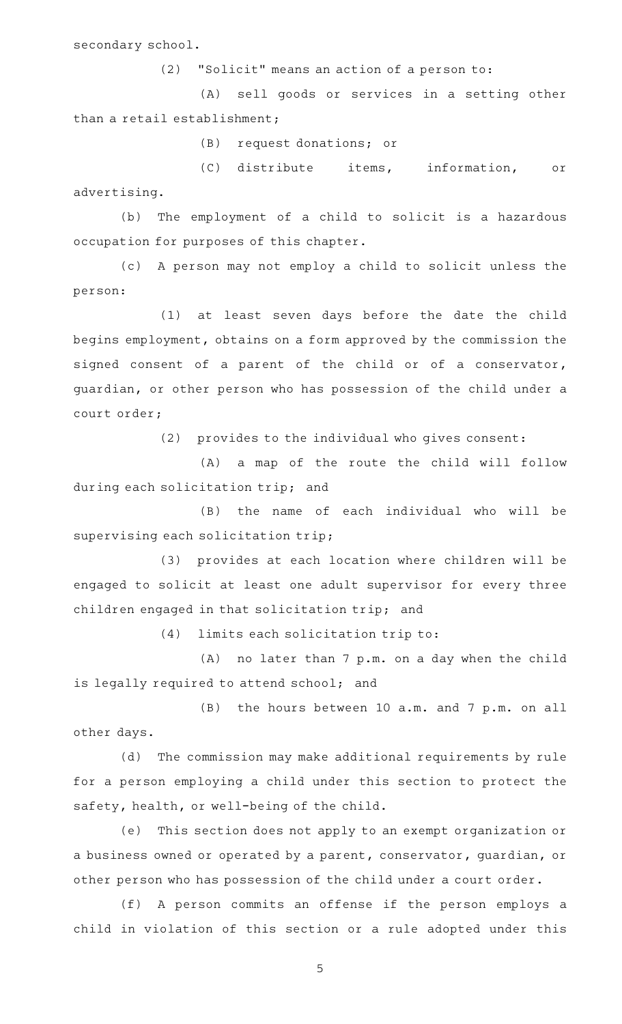secondary school.

 $(2)$  "Solicit" means an action of a person to:

(A) sell goods or services in a setting other than a retail establishment;

(B) request donations; or

(C) distribute items, information, or advertising.

(b) The employment of a child to solicit is a hazardous occupation for purposes of this chapter.

(c)AAA person may not employ a child to solicit unless the person:

(1) at least seven days before the date the child begins employment, obtains on a form approved by the commission the signed consent of a parent of the child or of a conservator, guardian, or other person who has possession of the child under a court order;

(2) provides to the individual who gives consent:

(A) a map of the route the child will follow during each solicitation trip; and

(B) the name of each individual who will be supervising each solicitation trip;

(3) provides at each location where children will be engaged to solicit at least one adult supervisor for every three children engaged in that solicitation trip; and

 $(4)$  limits each solicitation trip to:

 $(A)$  no later than 7 p.m. on a day when the child is legally required to attend school; and

(B) the hours between 10 a.m. and 7 p.m. on all other days.

(d) The commission may make additional requirements by rule for a person employing a child under this section to protect the safety, health, or well-being of the child.

(e) This section does not apply to an exempt organization or a business owned or operated by a parent, conservator, guardian, or other person who has possession of the child under a court order.

(f) A person commits an offense if the person employs a child in violation of this section or a rule adopted under this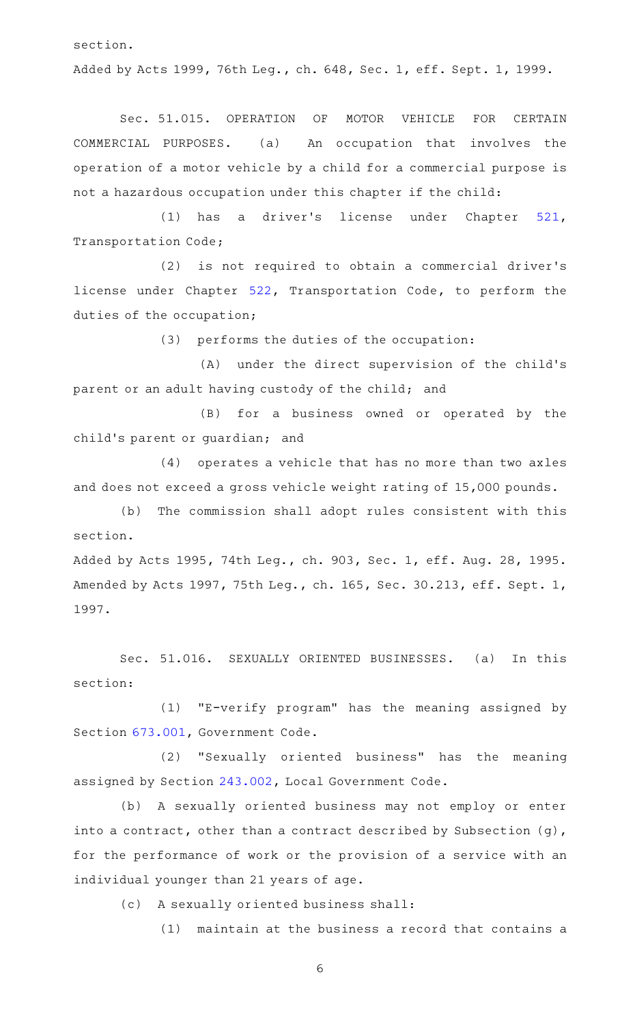section.

Added by Acts 1999, 76th Leg., ch. 648, Sec. 1, eff. Sept. 1, 1999.

Sec. 51.015. OPERATION OF MOTOR VEHICLE FOR CERTAIN COMMERCIAL PURPOSES. (a) An occupation that involves the operation of a motor vehicle by a child for a commercial purpose is not a hazardous occupation under this chapter if the child:

(1) has a driver's license under Chapter  $521$ , Transportation Code;

(2) is not required to obtain a commercial driver's license under Chapter [522](http://www.statutes.legis.state.tx.us/GetStatute.aspx?Code=TN&Value=522), Transportation Code, to perform the duties of the occupation;

(3) performs the duties of the occupation:

(A) under the direct supervision of the child's parent or an adult having custody of the child; and

(B) for a business owned or operated by the child 's parent or guardian; and

 $(4)$  operates a vehicle that has no more than two axles and does not exceed a gross vehicle weight rating of 15,000 pounds.

(b) The commission shall adopt rules consistent with this section.

Added by Acts 1995, 74th Leg., ch. 903, Sec. 1, eff. Aug. 28, 1995. Amended by Acts 1997, 75th Leg., ch. 165, Sec. 30.213, eff. Sept. 1, 1997.

Sec. 51.016. SEXUALLY ORIENTED BUSINESSES. (a) In this section:

(1) "E-verify program" has the meaning assigned by Section [673.001,](http://www.statutes.legis.state.tx.us/GetStatute.aspx?Code=GV&Value=673.001) Government Code.

(2) "Sexually oriented business" has the meaning assigned by Section [243.002](http://www.statutes.legis.state.tx.us/GetStatute.aspx?Code=LG&Value=243.002), Local Government Code.

(b) A sexually oriented business may not employ or enter into a contract, other than a contract described by Subsection (g), for the performance of work or the provision of a service with an individual younger than 21 years of age.

(c) A sexually oriented business shall:

 $(1)$  maintain at the business a record that contains a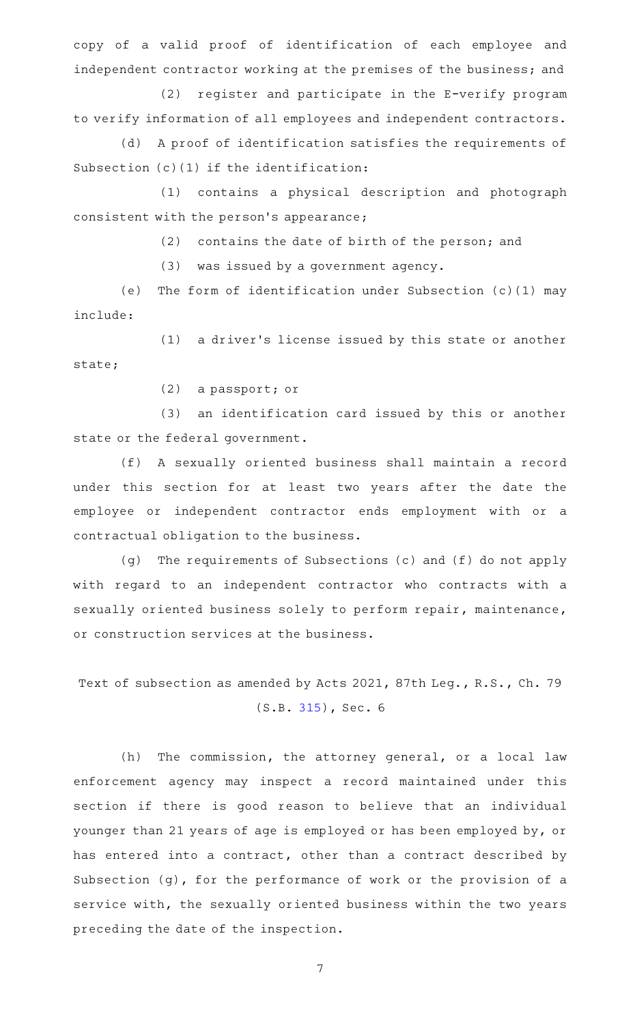copy of a valid proof of identification of each employee and independent contractor working at the premises of the business; and

(2) register and participate in the E-verify program to verify information of all employees and independent contractors.

(d) A proof of identification satisfies the requirements of Subsection (c)(1) if the identification:

(1) contains a physical description and photograph consistent with the person's appearance;

 $(2)$  contains the date of birth of the person; and

 $(3)$  was issued by a government agency.

(e) The form of identification under Subsection (c)(1) may include:

(1) a driver's license issued by this state or another state;

 $(2)$  a passport; or

(3) an identification card issued by this or another state or the federal government.

(f) A sexually oriented business shall maintain a record under this section for at least two years after the date the employee or independent contractor ends employment with or a contractual obligation to the business.

(g) The requirements of Subsections (c) and (f) do not apply with regard to an independent contractor who contracts with a sexually oriented business solely to perform repair, maintenance, or construction services at the business.

Text of subsection as amended by Acts 2021, 87th Leg., R.S., Ch. 79 (S.B. [315](http://www.legis.state.tx.us/tlodocs/87R/billtext/html/SB00315F.HTM)), Sec. 6

(h) The commission, the attorney general, or a local law enforcement agency may inspect a record maintained under this section if there is good reason to believe that an individual younger than 21 years of age is employed or has been employed by, or has entered into a contract, other than a contract described by Subsection (g), for the performance of work or the provision of a service with, the sexually oriented business within the two years preceding the date of the inspection.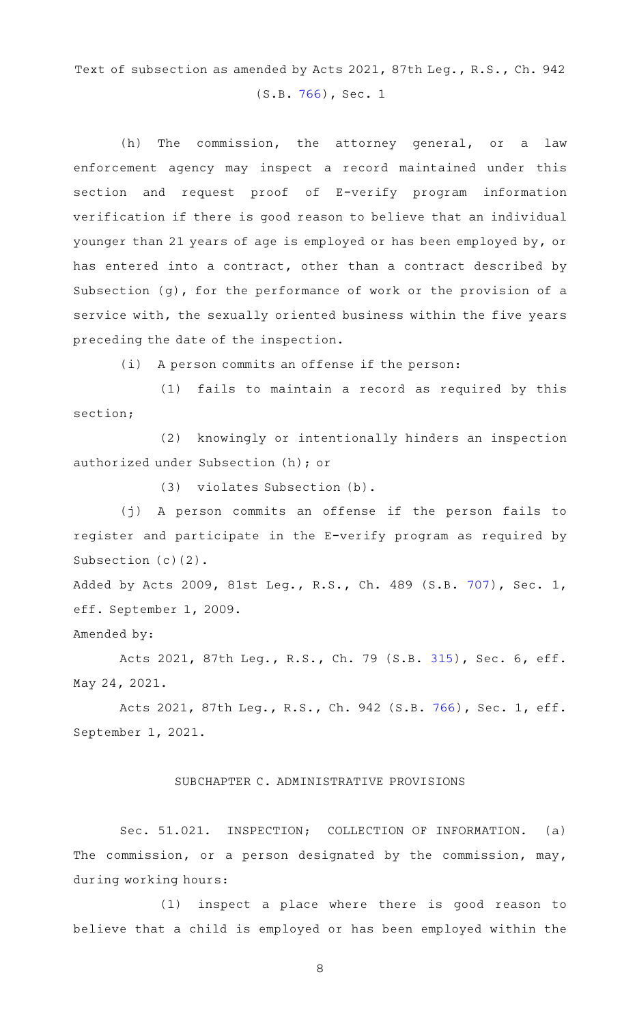Text of subsection as amended by Acts 2021, 87th Leg., R.S., Ch. 942 (S.B. [766](http://www.legis.state.tx.us/tlodocs/87R/billtext/html/SB00766F.HTM)), Sec. 1

(h) The commission, the attorney general, or a law enforcement agency may inspect a record maintained under this section and request proof of E-verify program information verification if there is good reason to believe that an individual younger than 21 years of age is employed or has been employed by, or has entered into a contract, other than a contract described by Subsection (g), for the performance of work or the provision of a service with, the sexually oriented business within the five years preceding the date of the inspection.

(i) A person commits an offense if the person:

(1) fails to maintain a record as required by this section;

(2) knowingly or intentionally hinders an inspection authorized under Subsection (h); or

(3) violates Subsection (b).

(j) A person commits an offense if the person fails to register and participate in the E-verify program as required by Subsection (c)(2).

Added by Acts 2009, 81st Leg., R.S., Ch. 489 (S.B. [707](http://www.legis.state.tx.us/tlodocs/81R/billtext/html/SB00707F.HTM)), Sec. 1, eff. September 1, 2009.

Amended by:

Acts 2021, 87th Leg., R.S., Ch. 79 (S.B. [315](http://www.legis.state.tx.us/tlodocs/87R/billtext/html/SB00315F.HTM)), Sec. 6, eff. May 24, 2021.

Acts 2021, 87th Leg., R.S., Ch. 942 (S.B. [766](http://www.legis.state.tx.us/tlodocs/87R/billtext/html/SB00766F.HTM)), Sec. 1, eff. September 1, 2021.

### SUBCHAPTER C. ADMINISTRATIVE PROVISIONS

Sec. 51.021. INSPECTION; COLLECTION OF INFORMATION. (a) The commission, or a person designated by the commission, may, during working hours:

(1) inspect a place where there is good reason to believe that a child is employed or has been employed within the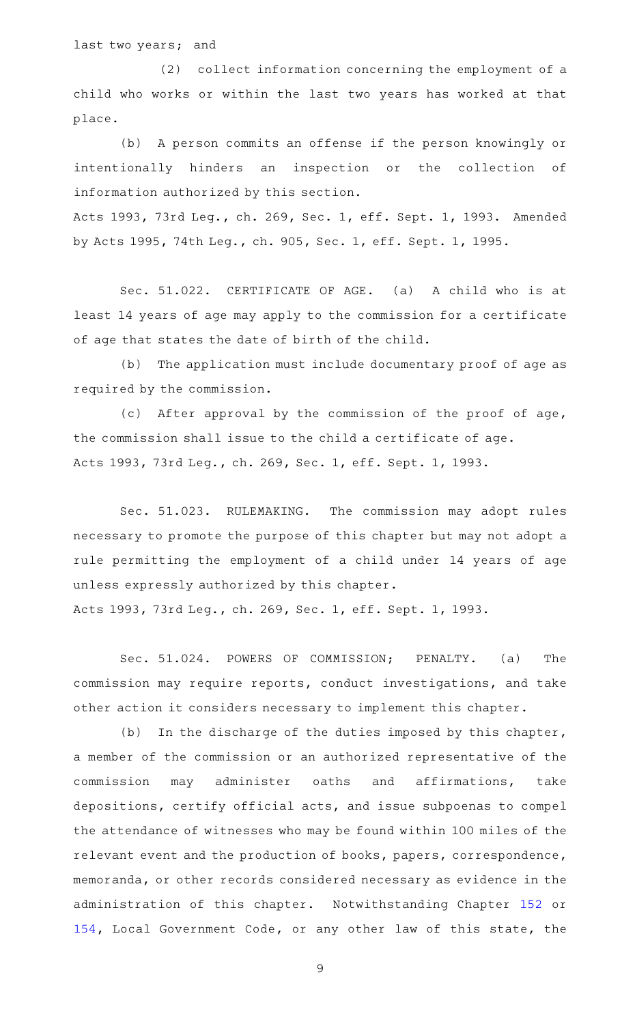(2) collect information concerning the employment of a child who works or within the last two years has worked at that place.

(b) A person commits an offense if the person knowingly or intentionally hinders an inspection or the collection of information authorized by this section.

Acts 1993, 73rd Leg., ch. 269, Sec. 1, eff. Sept. 1, 1993. Amended by Acts 1995, 74th Leg., ch. 905, Sec. 1, eff. Sept. 1, 1995.

Sec. 51.022. CERTIFICATE OF AGE. (a) A child who is at least 14 years of age may apply to the commission for a certificate of age that states the date of birth of the child.

(b) The application must include documentary proof of age as required by the commission.

 $(c)$  After approval by the commission of the proof of age, the commission shall issue to the child a certificate of age. Acts 1993, 73rd Leg., ch. 269, Sec. 1, eff. Sept. 1, 1993.

Sec. 51.023. RULEMAKING. The commission may adopt rules necessary to promote the purpose of this chapter but may not adopt a rule permitting the employment of a child under 14 years of age unless expressly authorized by this chapter.

Acts 1993, 73rd Leg., ch. 269, Sec. 1, eff. Sept. 1, 1993.

Sec. 51.024. POWERS OF COMMISSION; PENALTY. (a) The commission may require reports, conduct investigations, and take other action it considers necessary to implement this chapter.

(b) In the discharge of the duties imposed by this chapter, a member of the commission or an authorized representative of the commission may administer oaths and affirmations, take depositions, certify official acts, and issue subpoenas to compel the attendance of witnesses who may be found within 100 miles of the relevant event and the production of books, papers, correspondence, memoranda, or other records considered necessary as evidence in the administration of this chapter. Notwithstanding Chapter [152](http://www.statutes.legis.state.tx.us/GetStatute.aspx?Code=LG&Value=152) or [154,](http://www.statutes.legis.state.tx.us/GetStatute.aspx?Code=LG&Value=154) Local Government Code, or any other law of this state, the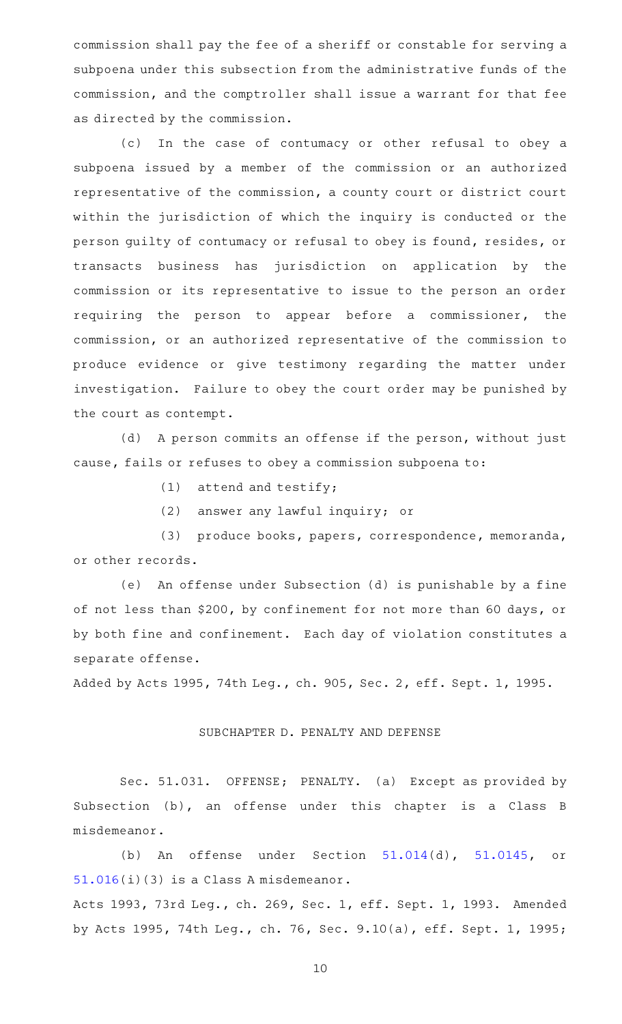commission shall pay the fee of a sheriff or constable for serving a subpoena under this subsection from the administrative funds of the commission, and the comptroller shall issue a warrant for that fee as directed by the commission.

(c) In the case of contumacy or other refusal to obey a subpoena issued by a member of the commission or an authorized representative of the commission, a county court or district court within the jurisdiction of which the inquiry is conducted or the person guilty of contumacy or refusal to obey is found, resides, or transacts business has jurisdiction on application by the commission or its representative to issue to the person an order requiring the person to appear before a commissioner, the commission, or an authorized representative of the commission to produce evidence or give testimony regarding the matter under investigation. Failure to obey the court order may be punished by the court as contempt.

(d) A person commits an offense if the person, without just cause, fails or refuses to obey a commission subpoena to:

 $(1)$  attend and testify;

 $(2)$  answer any lawful inquiry; or

(3) produce books, papers, correspondence, memoranda, or other records.

(e) An offense under Subsection (d) is punishable by a fine of not less than \$200, by confinement for not more than 60 days, or by both fine and confinement. Each day of violation constitutes a separate offense.

Added by Acts 1995, 74th Leg., ch. 905, Sec. 2, eff. Sept. 1, 1995.

# SUBCHAPTER D. PENALTY AND DEFENSE

Sec. 51.031. OFFENSE; PENALTY. (a) Except as provided by Subsection (b), an offense under this chapter is a Class B misdemeanor.

(b) An offense under Section  $51.014(d)$  $51.014(d)$ ,  $51.0145$ , or [51.016](http://www.statutes.legis.state.tx.us/GetStatute.aspx?Code=LA&Value=51.016)(i)(3) is a Class A misdemeanor.

Acts 1993, 73rd Leg., ch. 269, Sec. 1, eff. Sept. 1, 1993. Amended by Acts 1995, 74th Leg., ch. 76, Sec. 9.10(a), eff. Sept. 1, 1995;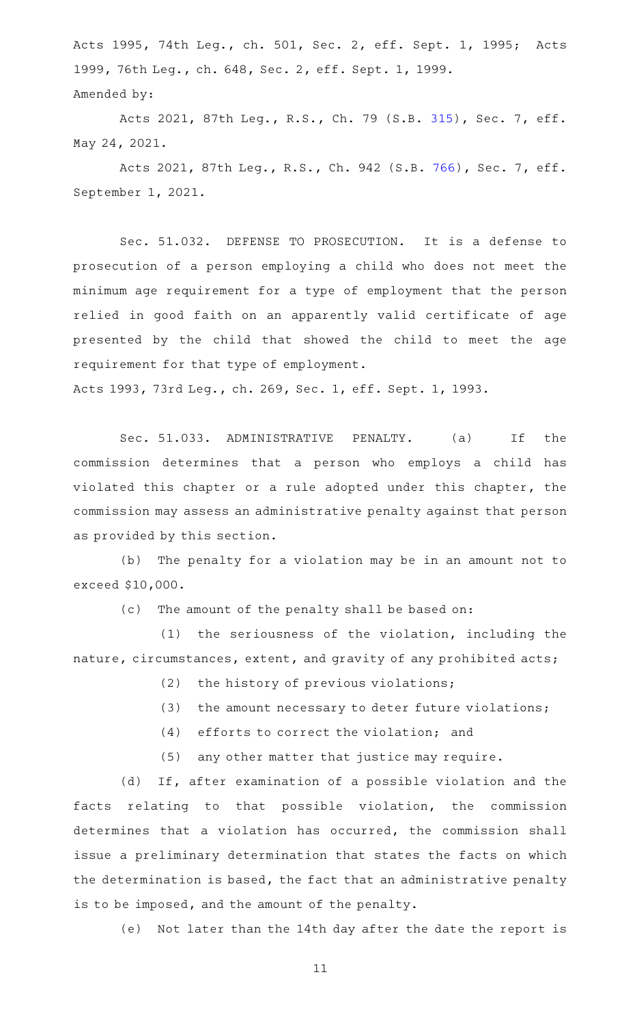Acts 1995, 74th Leg., ch. 501, Sec. 2, eff. Sept. 1, 1995; Acts 1999, 76th Leg., ch. 648, Sec. 2, eff. Sept. 1, 1999. Amended by:

Acts 2021, 87th Leg., R.S., Ch. 79 (S.B. [315](http://www.legis.state.tx.us/tlodocs/87R/billtext/html/SB00315F.HTM)), Sec. 7, eff. May 24, 2021.

Acts 2021, 87th Leg., R.S., Ch. 942 (S.B. [766](http://www.legis.state.tx.us/tlodocs/87R/billtext/html/SB00766F.HTM)), Sec. 7, eff. September 1, 2021.

Sec. 51.032. DEFENSE TO PROSECUTION. It is a defense to prosecution of a person employing a child who does not meet the minimum age requirement for a type of employment that the person relied in good faith on an apparently valid certificate of age presented by the child that showed the child to meet the age requirement for that type of employment. Acts 1993, 73rd Leg., ch. 269, Sec. 1, eff. Sept. 1, 1993.

Sec. 51.033. ADMINISTRATIVE PENALTY. (a) If the commission determines that a person who employs a child has violated this chapter or a rule adopted under this chapter, the commission may assess an administrative penalty against that person as provided by this section.

(b) The penalty for a violation may be in an amount not to exceed \$10,000.

(c) The amount of the penalty shall be based on:

 $(1)$  the seriousness of the violation, including the nature, circumstances, extent, and gravity of any prohibited acts;

- $(2)$  the history of previous violations;
- (3) the amount necessary to deter future violations;
- (4) efforts to correct the violation; and
- (5) any other matter that justice may require.

(d) If, after examination of a possible violation and the facts relating to that possible violation, the commission determines that a violation has occurred, the commission shall issue a preliminary determination that states the facts on which the determination is based, the fact that an administrative penalty is to be imposed, and the amount of the penalty.

(e) Not later than the 14th day after the date the report is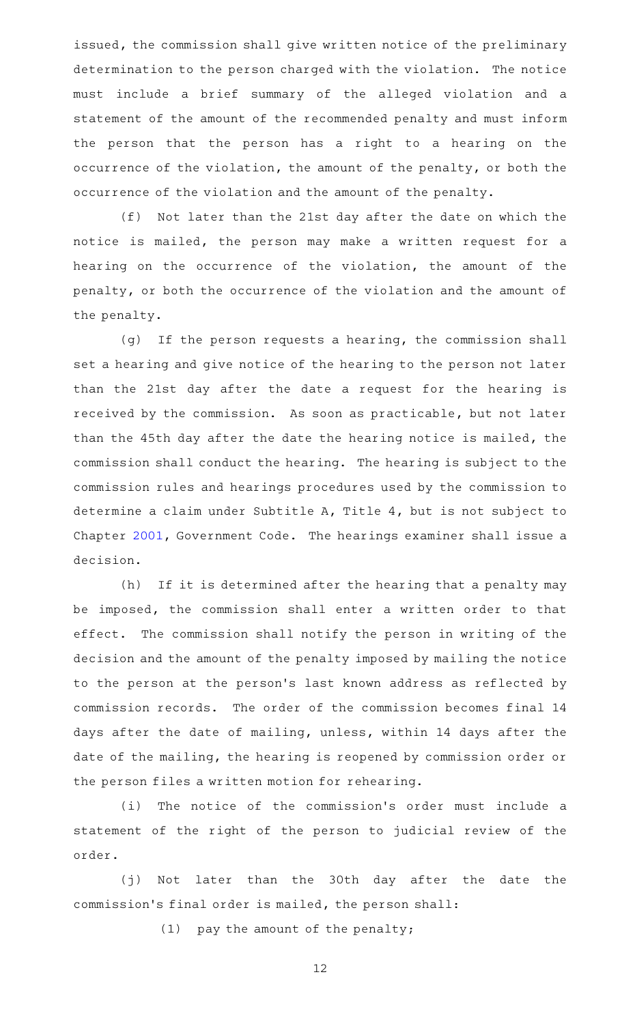issued, the commission shall give written notice of the preliminary determination to the person charged with the violation. The notice must include a brief summary of the alleged violation and a statement of the amount of the recommended penalty and must inform the person that the person has a right to a hearing on the occurrence of the violation, the amount of the penalty, or both the occurrence of the violation and the amount of the penalty.

(f) Not later than the 21st day after the date on which the notice is mailed, the person may make a written request for a hearing on the occurrence of the violation, the amount of the penalty, or both the occurrence of the violation and the amount of the penalty.

(g) If the person requests a hearing, the commission shall set a hearing and give notice of the hearing to the person not later than the 21st day after the date a request for the hearing is received by the commission. As soon as practicable, but not later than the 45th day after the date the hearing notice is mailed, the commission shall conduct the hearing. The hearing is subject to the commission rules and hearings procedures used by the commission to determine a claim under Subtitle A, Title 4, but is not subject to Chapter [2001,](http://www.statutes.legis.state.tx.us/GetStatute.aspx?Code=GV&Value=2001) Government Code. The hearings examiner shall issue a decision.

(h) If it is determined after the hearing that a penalty may be imposed, the commission shall enter a written order to that effect. The commission shall notify the person in writing of the decision and the amount of the penalty imposed by mailing the notice to the person at the person 's last known address as reflected by commission records. The order of the commission becomes final 14 days after the date of mailing, unless, within 14 days after the date of the mailing, the hearing is reopened by commission order or the person files a written motion for rehearing.

(i) The notice of the commission's order must include a statement of the right of the person to judicial review of the order.

(j) Not later than the 30th day after the date the commission 's final order is mailed, the person shall:

(1) pay the amount of the penalty;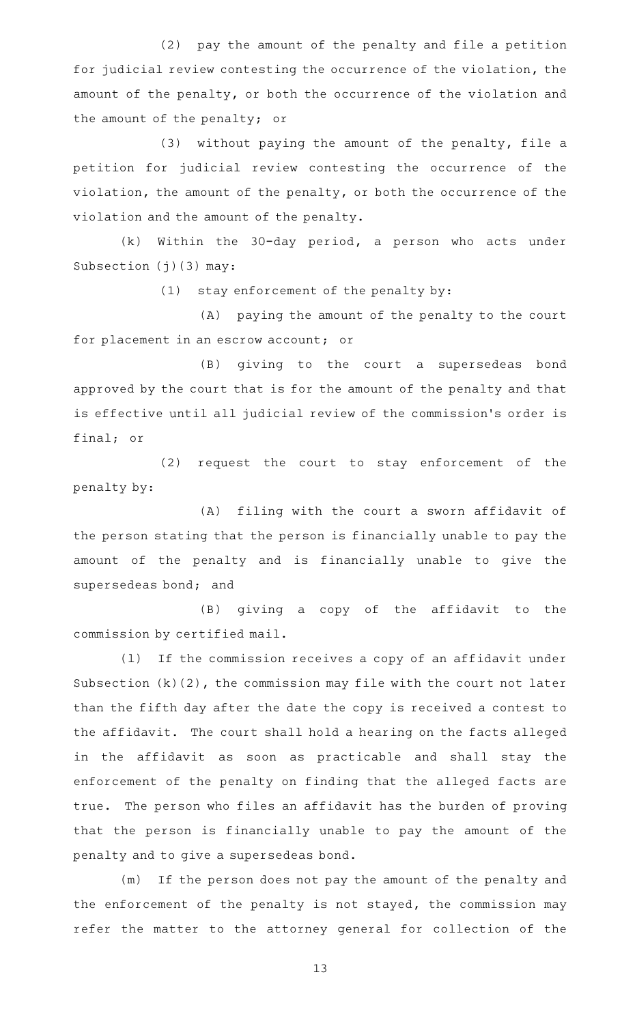(2) pay the amount of the penalty and file a petition for judicial review contesting the occurrence of the violation, the amount of the penalty, or both the occurrence of the violation and the amount of the penalty; or

(3) without paying the amount of the penalty, file a petition for judicial review contesting the occurrence of the violation, the amount of the penalty, or both the occurrence of the violation and the amount of the penalty.

 $(k)$  Within the 30-day period, a person who acts under Subsection (j)(3) may:

 $(1)$  stay enforcement of the penalty by:

(A) paying the amount of the penalty to the court for placement in an escrow account; or

(B) giving to the court a supersedeas bond approved by the court that is for the amount of the penalty and that is effective until all judicial review of the commission 's order is final; or

(2) request the court to stay enforcement of the penalty by:

(A) filing with the court a sworn affidavit of the person stating that the person is financially unable to pay the amount of the penalty and is financially unable to give the supersedeas bond; and

(B) giving a copy of the affidavit to the commission by certified mail.

(1) If the commission receives a copy of an affidavit under Subsection (k)(2), the commission may file with the court not later than the fifth day after the date the copy is received a contest to the affidavit. The court shall hold a hearing on the facts alleged in the affidavit as soon as practicable and shall stay the enforcement of the penalty on finding that the alleged facts are true. The person who files an affidavit has the burden of proving that the person is financially unable to pay the amount of the penalty and to give a supersedeas bond.

(m) If the person does not pay the amount of the penalty and the enforcement of the penalty is not stayed, the commission may refer the matter to the attorney general for collection of the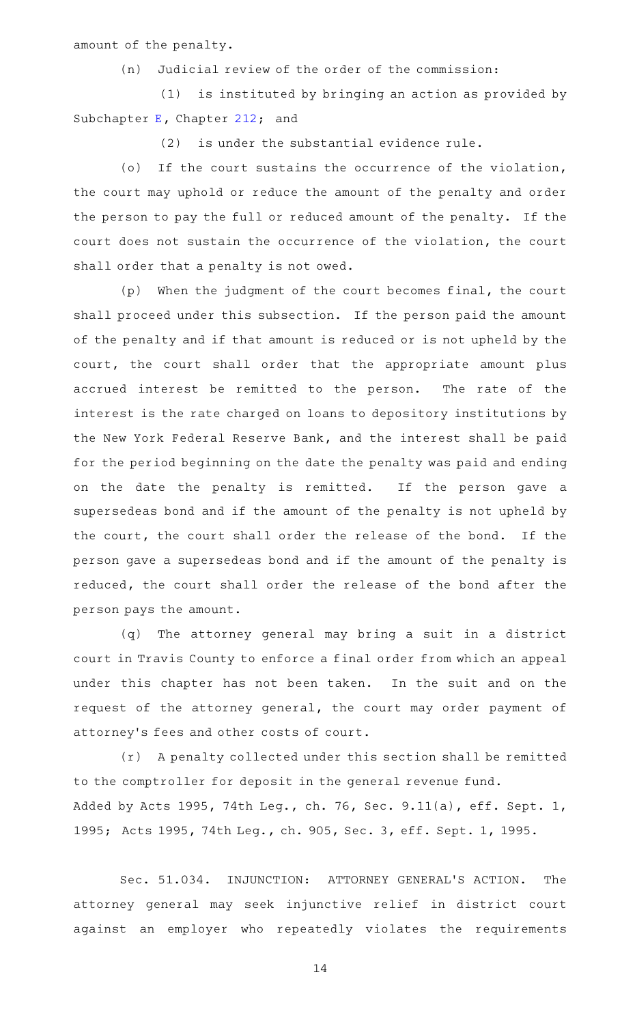amount of the penalty.

(n) Judicial review of the order of the commission:

(1) is instituted by bringing an action as provided by Subchapter [E](http://www.statutes.legis.state.tx.us/GetStatute.aspx?Code=LA&Value=212.201), Chapter [212](http://www.statutes.legis.state.tx.us/GetStatute.aspx?Code=LA&Value=212); and

 $(2)$  is under the substantial evidence rule.

(o) If the court sustains the occurrence of the violation, the court may uphold or reduce the amount of the penalty and order the person to pay the full or reduced amount of the penalty. If the court does not sustain the occurrence of the violation, the court shall order that a penalty is not owed.

(p) When the judgment of the court becomes final, the court shall proceed under this subsection. If the person paid the amount of the penalty and if that amount is reduced or is not upheld by the court, the court shall order that the appropriate amount plus accrued interest be remitted to the person. The rate of the interest is the rate charged on loans to depository institutions by the New York Federal Reserve Bank, and the interest shall be paid for the period beginning on the date the penalty was paid and ending on the date the penalty is remitted. If the person gave a supersedeas bond and if the amount of the penalty is not upheld by the court, the court shall order the release of the bond. If the person gave a supersedeas bond and if the amount of the penalty is reduced, the court shall order the release of the bond after the person pays the amount.

(q) The attorney general may bring a suit in a district court in Travis County to enforce a final order from which an appeal under this chapter has not been taken. In the suit and on the request of the attorney general, the court may order payment of attorney's fees and other costs of court.

(r) A penalty collected under this section shall be remitted to the comptroller for deposit in the general revenue fund. Added by Acts 1995, 74th Leg., ch. 76, Sec. 9.11(a), eff. Sept. 1, 1995; Acts 1995, 74th Leg., ch. 905, Sec. 3, eff. Sept. 1, 1995.

Sec. 51.034. INJUNCTION: ATTORNEY GENERAL'S ACTION. The attorney general may seek injunctive relief in district court against an employer who repeatedly violates the requirements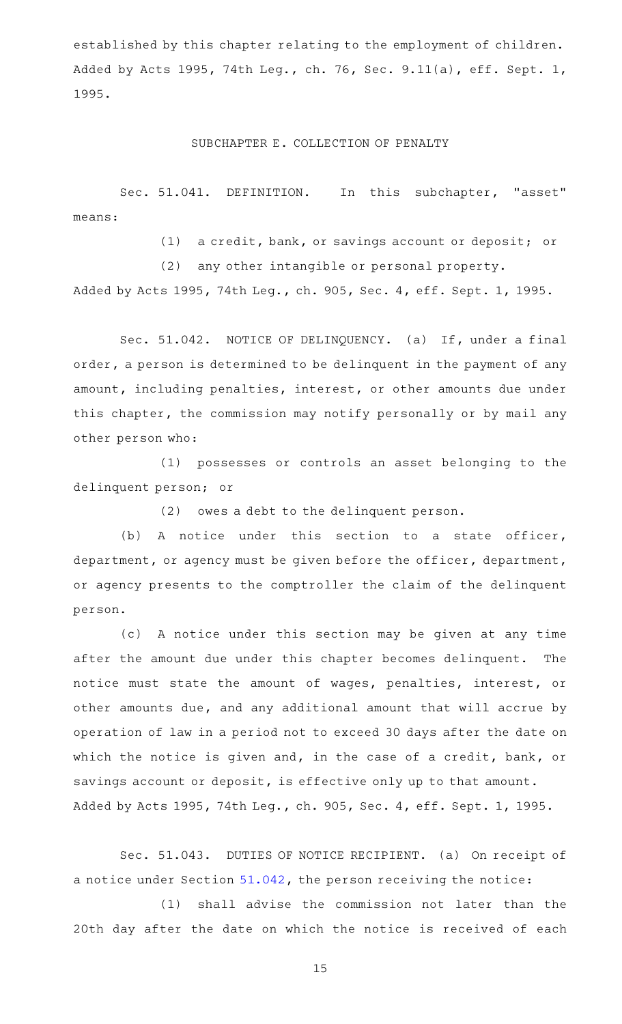established by this chapter relating to the employment of children. Added by Acts 1995, 74th Leg., ch. 76, Sec. 9.11(a), eff. Sept. 1, 1995.

#### SUBCHAPTER E. COLLECTION OF PENALTY

Sec. 51.041. DEFINITION. In this subchapter, "asset" means:

(1) a credit, bank, or savings account or deposit; or

(2) any other intangible or personal property.

Added by Acts 1995, 74th Leg., ch. 905, Sec. 4, eff. Sept. 1, 1995.

Sec. 51.042. NOTICE OF DELINQUENCY. (a) If, under a final order, a person is determined to be delinquent in the payment of any amount, including penalties, interest, or other amounts due under this chapter, the commission may notify personally or by mail any other person who:

(1) possesses or controls an asset belonging to the delinquent person; or

 $(2)$  owes a debt to the delinquent person.

(b) A notice under this section to a state officer, department, or agency must be given before the officer, department, or agency presents to the comptroller the claim of the delinquent person.

(c)AAA notice under this section may be given at any time after the amount due under this chapter becomes delinquent. The notice must state the amount of wages, penalties, interest, or other amounts due, and any additional amount that will accrue by operation of law in a period not to exceed 30 days after the date on which the notice is given and, in the case of a credit, bank, or savings account or deposit, is effective only up to that amount. Added by Acts 1995, 74th Leg., ch. 905, Sec. 4, eff. Sept. 1, 1995.

Sec. 51.043. DUTIES OF NOTICE RECIPIENT. (a) On receipt of a notice under Section [51.042,](http://www.statutes.legis.state.tx.us/GetStatute.aspx?Code=LA&Value=51.042) the person receiving the notice:

(1) shall advise the commission not later than the 20th day after the date on which the notice is received of each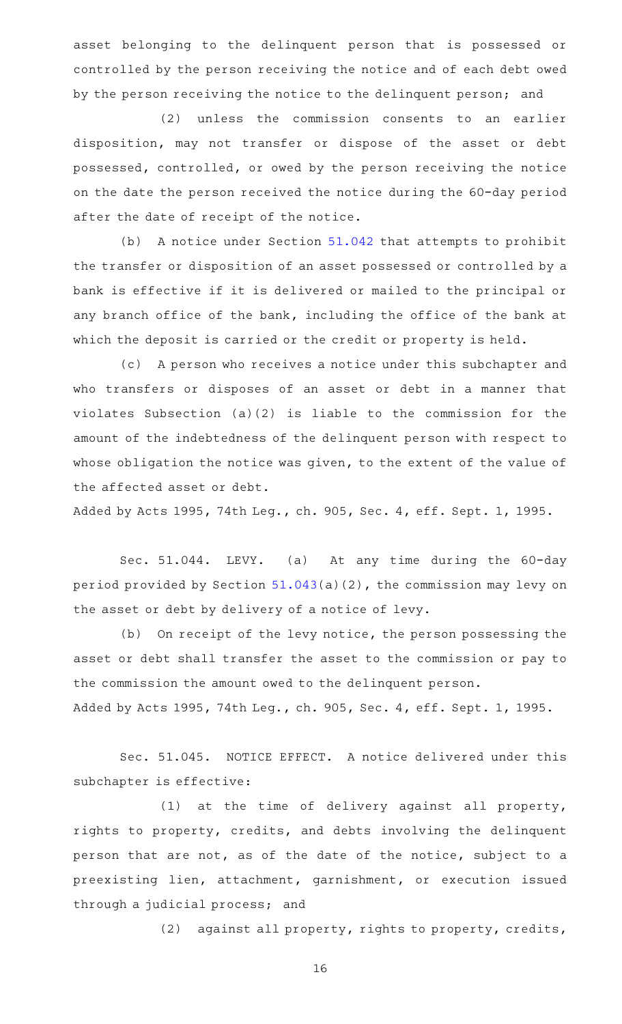asset belonging to the delinquent person that is possessed or controlled by the person receiving the notice and of each debt owed by the person receiving the notice to the delinquent person; and

(2) unless the commission consents to an earlier disposition, may not transfer or dispose of the asset or debt possessed, controlled, or owed by the person receiving the notice on the date the person received the notice during the 60-day period after the date of receipt of the notice.

(b) A notice under Section  $51.042$  that attempts to prohibit the transfer or disposition of an asset possessed or controlled by a bank is effective if it is delivered or mailed to the principal or any branch office of the bank, including the office of the bank at which the deposit is carried or the credit or property is held.

(c) A person who receives a notice under this subchapter and who transfers or disposes of an asset or debt in a manner that violates Subsection (a)(2) is liable to the commission for the amount of the indebtedness of the delinquent person with respect to whose obligation the notice was given, to the extent of the value of the affected asset or debt.

Added by Acts 1995, 74th Leg., ch. 905, Sec. 4, eff. Sept. 1, 1995.

Sec. 51.044. LEVY. (a) At any time during the 60-day period provided by Section [51.043](http://www.statutes.legis.state.tx.us/GetStatute.aspx?Code=LA&Value=51.043)(a)(2), the commission may levy on the asset or debt by delivery of a notice of levy.

(b) On receipt of the levy notice, the person possessing the asset or debt shall transfer the asset to the commission or pay to the commission the amount owed to the delinquent person. Added by Acts 1995, 74th Leg., ch. 905, Sec. 4, eff. Sept. 1, 1995.

Sec. 51.045. NOTICE EFFECT. A notice delivered under this subchapter is effective:

(1) at the time of delivery against all property, rights to property, credits, and debts involving the delinquent person that are not, as of the date of the notice, subject to a preexisting lien, attachment, garnishment, or execution issued through a judicial process; and

(2) against all property, rights to property, credits,